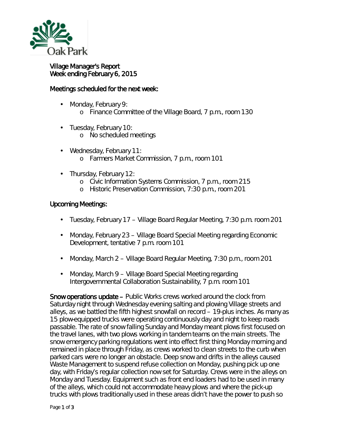

## Village Manager's Report Week ending February 6, 2015

## Meetings scheduled for the next week:

- Monday, February 9: o Finance Committee of the Village Board, 7 p.m., room 130
- Tuesday, February 10:
	- o No scheduled meetings
- ä, Wednesday, February 11: o Farmers Market Commission, 7 p.m., room 101
- Thursday, February 12:
	- o Civic Information Systems Commission, 7 p.m., room 215
	- o Historic Preservation Commission, 7:30 p.m., room 201

## Upcoming Meetings:

- Tuesday, February 17 Village Board Regular Meeting, 7:30 p.m. room 201  $\mathcal{L}^{\text{max}}$
- Monday, February 23 Village Board Special Meeting regarding Economic  $\mathcal{L}^{\text{max}}$ Development, tentative 7 p.m. room 101
- $\mathcal{L}^{\pm}$ Monday, March 2 – Village Board Regular Meeting, 7:30 p.m., room 201
- Monday, March 9 Village Board Special Meeting regarding Intergovernmental Collaboration Sustainability, 7 p.m. room 101

Snow operations update – Public Works crews worked around the clock from Saturday night through Wednesday evening salting and plowing Village streets and alleys, as we battled the fifth highest snowfall on record – 19-plus inches. As many as 15 plow-equipped trucks were operating continuously day and night to keep roads passable. The rate of snow falling Sunday and Monday meant plows first focused on the travel lanes, with two plows working in tandem teams on the main streets. The snow emergency parking regulations went into effect first thing Monday morning and remained in place through Friday, as crews worked to clean streets to the curb when parked cars were no longer an obstacle. Deep snow and drifts in the alleys caused Waste Management to suspend refuse collection on Monday, pushing pick up one day, with Friday's regular collection now set for Saturday. Crews were in the alleys on Monday and Tuesday. Equipment such as front end loaders had to be used in many of the alleys, which could not accommodate heavy plows and where the pick-up trucks with plows traditionally used in these areas didn't have the power to push so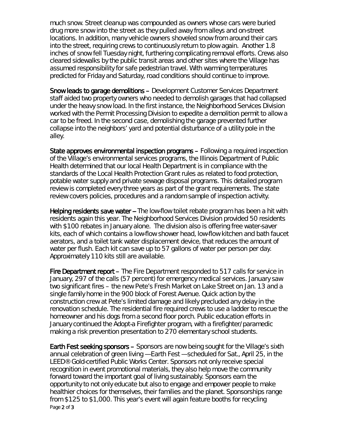much snow. Street cleanup was compounded as owners whose cars were buried drug more snow into the street as they pulled away from alleys and on-street locations. In addition, many vehicle owners shoveled snow from around their cars into the street, requiring crews to continuously return to plow again. Another 1.8 inches of snow fell Tuesday night, furthering complicating removal efforts. Crews also cleared sidewalks by the public transit areas and other sites where the Village has assumed responsibility for safe pedestrian travel. With warming temperatures predicted for Friday and Saturday, road conditions should continue to improve.

Snow leads to garage demolitions – Development Customer Services Department staff aided two property owners who needed to demolish garages that had collapsed under the heavy snow load. In the first instance, the Neighborhood Services Division worked with the Permit Processing Division to expedite a demolition permit to allow a car to be freed. In the second case, demolishing the garage prevented further collapse into the neighbors' yard and potential disturbance of a utility pole in the alley.

State approves environmental inspection programs – Following a required inspection of the Village's environmental services programs, the Illinois Department of Public Health determined that our local Health Department is in compliance with the standards of the Local Health Protection Grant rules as related to food protection, potable water supply and private sewage disposal programs. This detailed program review is completed every three years as part of the grant requirements. The state review covers policies, procedures and a random sample of inspection activity.

Helping residents save water -- The low-flow toilet rebate program has been a hit with residents again this year. The Neighborhood Services Division provided 50 residents with \$100 rebates in January alone. The division also is offering free water-saver kits, each of which contains a low-flow shower head, low-flow kitchen and bath faucet aerators, and a toilet tank water displacement device, that reduces the amount of water per flush. Each kit can save up to 57 gallons of water per person per day. Approximately 110 kits still are available.

Fire Department report – The Fire Department responded to 517 calls for service in January, 297 of the calls (57 percent) for emergency medical services. January saw two significant fires – the new Pete's Fresh Market on Lake Street on Jan. 13 and a single family home in the 900 block of Forest Avenue. Quick action by the construction crew at Pete's limited damage and likely precluded any delay in the renovation schedule. The residential fire required crews to use a ladder to rescue the homeowner and his dogs from a second floor porch. Public education efforts in January continued the *Adopt-a Firefighter* program, with a firefighter/paramedic making a risk prevention presentation to 270 elementary school students.

Page 2 of 3 Earth Fest seeking sponsors – Sponsors are now being sought for the Village's sixth annual celebration of green living — *Earth Fest* — scheduled for Sat., April 25, in the LEED® Gold-certified Public Works Center. Sponsors not only receive special recognition in event promotional materials, they also help move the community forward toward the important goal of living sustainably. Sponsors earn the opportunity to not only educate but also to engage and empower people to make healthier choices for themselves, their families and the planet. Sponsorships range from \$125 to \$1,000. This year's event will again feature booths for recycling